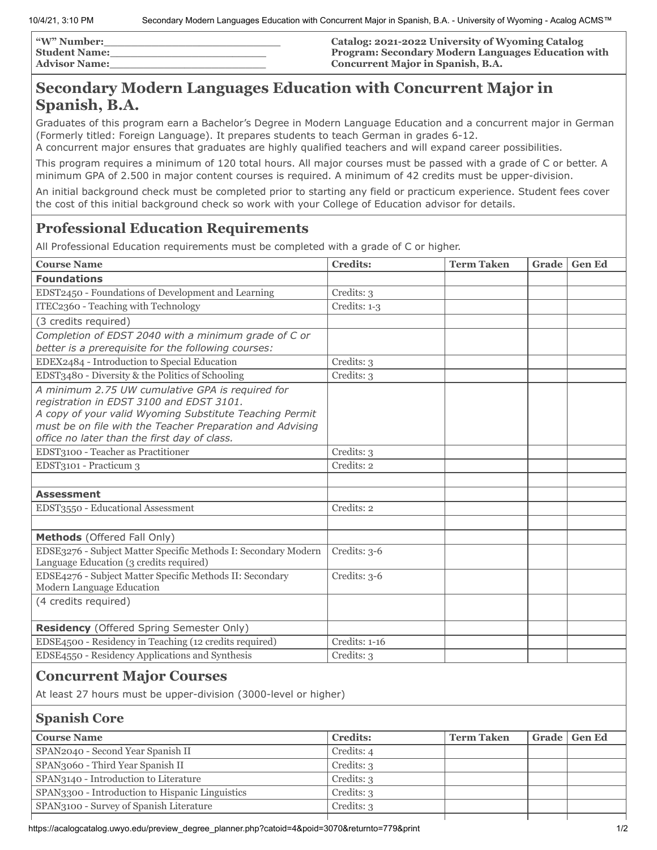| <b><i>"W"</i> Number:</b> | Catalog: 2021-2022 University of Wyoming Catalog          |
|---------------------------|-----------------------------------------------------------|
| <b>Student Name:</b>      | <b>Program: Secondary Modern Languages Education with</b> |
| <b>Advisor Name:</b>      | Concurrent Major in Spanish, B.A.                         |

### **Secondary Modern Languages Education with Concurrent Major in Spanish, B.A.**

Graduates of this program earn a Bachelor's Degree in Modern Language Education and a concurrent major in German (Formerly titled: Foreign Language). It prepares students to teach German in grades 6-12.

A concurrent major ensures that graduates are highly qualified teachers and will expand career possibilities.

This program requires a minimum of 120 total hours. All major courses must be passed with a grade of C or better. A minimum GPA of 2.500 in major content courses is required. A minimum of 42 credits must be upper-division.

An initial background check must be completed prior to starting any field or practicum experience. Student fees cover the cost of this initial background check so work with your College of Education advisor for details.

### **Professional Education Requirements**

All Professional Education requirements must be completed with a grade of C or higher.

| <b>Course Name</b>                                                                                                                                                                                                                                                   | <b>Credits:</b> | <b>Term Taken</b> | Grade | <b>Gen Ed</b> |
|----------------------------------------------------------------------------------------------------------------------------------------------------------------------------------------------------------------------------------------------------------------------|-----------------|-------------------|-------|---------------|
| <b>Foundations</b>                                                                                                                                                                                                                                                   |                 |                   |       |               |
| EDST2450 - Foundations of Development and Learning                                                                                                                                                                                                                   | Credits: 3      |                   |       |               |
| ITEC2360 - Teaching with Technology                                                                                                                                                                                                                                  | Credits: 1-3    |                   |       |               |
| (3 credits required)                                                                                                                                                                                                                                                 |                 |                   |       |               |
| Completion of EDST 2040 with a minimum grade of C or<br>better is a prerequisite for the following courses:                                                                                                                                                          |                 |                   |       |               |
| EDEX2484 - Introduction to Special Education                                                                                                                                                                                                                         | Credits: 3      |                   |       |               |
| EDST3480 - Diversity & the Politics of Schooling                                                                                                                                                                                                                     | Credits: 3      |                   |       |               |
| A minimum 2.75 UW cumulative GPA is required for<br>registration in EDST 3100 and EDST 3101.<br>A copy of your valid Wyoming Substitute Teaching Permit<br>must be on file with the Teacher Preparation and Advising<br>office no later than the first day of class. |                 |                   |       |               |
| EDST3100 - Teacher as Practitioner                                                                                                                                                                                                                                   | Credits: 3      |                   |       |               |
| EDST3101 - Practicum 3                                                                                                                                                                                                                                               | Credits: 2      |                   |       |               |
|                                                                                                                                                                                                                                                                      |                 |                   |       |               |
| <b>Assessment</b>                                                                                                                                                                                                                                                    |                 |                   |       |               |
| EDST3550 - Educational Assessment                                                                                                                                                                                                                                    | Credits: 2      |                   |       |               |
|                                                                                                                                                                                                                                                                      |                 |                   |       |               |
| Methods (Offered Fall Only)                                                                                                                                                                                                                                          |                 |                   |       |               |
| EDSE3276 - Subject Matter Specific Methods I: Secondary Modern<br>Language Education (3 credits required)                                                                                                                                                            | Credits: 3-6    |                   |       |               |
| EDSE4276 - Subject Matter Specific Methods II: Secondary<br>Modern Language Education                                                                                                                                                                                | Credits: 3-6    |                   |       |               |
| (4 credits required)                                                                                                                                                                                                                                                 |                 |                   |       |               |
| <b>Residency</b> (Offered Spring Semester Only)                                                                                                                                                                                                                      |                 |                   |       |               |
| EDSE4500 - Residency in Teaching (12 credits required)                                                                                                                                                                                                               | Credits: 1-16   |                   |       |               |
| EDSE4550 - Residency Applications and Synthesis                                                                                                                                                                                                                      | Credits: 3      |                   |       |               |
| $\Omega$ om ommeret Maion $\Omega$ ommere                                                                                                                                                                                                                            |                 |                   |       |               |

### **Concurrent Major Courses**

At least 27 hours must be upper-division (3000-level or higher)

### **Spanish Core**

| <b>Course Name</b>                              | <b>Credits:</b> | <b>Term Taken</b> | Grade   Gen Ed |
|-------------------------------------------------|-----------------|-------------------|----------------|
| SPAN2040 - Second Year Spanish II               | Credits: 4      |                   |                |
| SPAN3060 - Third Year Spanish II                | Credits: 3      |                   |                |
| SPAN3140 - Introduction to Literature           | Credits: 3      |                   |                |
| SPAN3300 - Introduction to Hispanic Linguistics | Credits: 3      |                   |                |
| SPAN3100 - Survey of Spanish Literature         | Credits: 3      |                   |                |